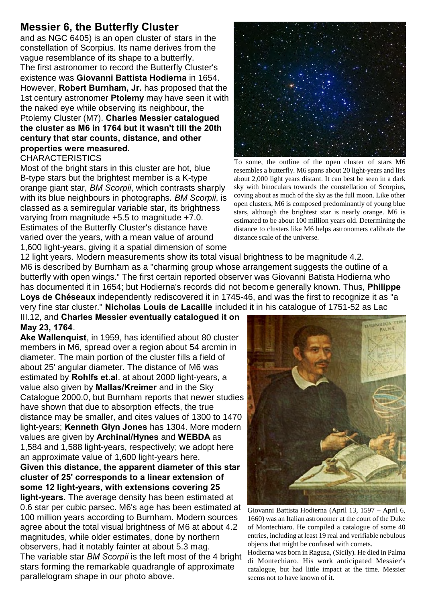## **Messier 6, the Butterfly Cluster**

and as NGC 6405) is an open cluster of stars in the constellation of Scorpius. Its name derives from the vague resemblance of its shape to a butterfly. The first astronomer to record the Butterfly Cluster's existence was **Giovanni Battista Hodierna** in 1654. However, **Robert Burnham, Jr.** has proposed that the 1st century astronomer **Ptolemy** may have seen it with the naked eye while observing its neighbour, the Ptolemy Cluster (M7). **Charles Messier catalogued the cluster as M6 in 1764 but it wasn't till the 20th century that star counts, distance, and other properties were measured.**

## **CHARACTERISTICS**

Most of the bright stars in this cluster are hot, blue B-type stars but the brightest member is a K-type orange giant star, *BM Scorpii*, which contrasts sharply with its blue neighbours in photographs. *BM Scorpii*, is classed as a semiregular variable star, its brightness varying from magnitude +5.5 to magnitude +7.0. Estimates of the Butterfly Cluster's distance have varied over the years, with a mean value of around 1,600 light-years, giving it a spatial dimension of some



To some, the outline of the open cluster of stars M6 resembles a butterfly. M6 spans about 20 light-years and lies about 2,000 light years distant. It can best be seen in a dark sky with binoculars towards the constellation of Scorpius, coving about as much of the sky as the full moon. Like other open clusters, M6 is composed predominantly of young blue stars, although the brightest star is nearly orange. M6 is estimated to be about 100 million years old. Determining the distance to clusters like M6 helps astronomers calibrate the distance scale of the universe.

12 light years. Modern measurements show its total visual brightness to be magnitude 4.2. M6 is described by Burnham as a "charming group whose arrangement suggests the outline of a butterfly with open wings." The first certain reported observer was Giovanni Batista Hodierna who has documented it in 1654; but Hodierna's records did not become generally known. Thus, **Philippe Loys de Chéseaux** independently rediscovered it in 1745-46, and was the first to recognize it as "a very fine star cluster." **Nicholas Louis de Lacaille** included it in his catalogue of 1751-52 as Lac

III.12, and **Charles Messier eventually catalogued it on May 23, 1764**.

**Ake Wallenquist**, in 1959, has identified about 80 cluster members in M6, spread over a region about 54 arcmin in diameter. The main portion of the cluster fills a field of about 25' angular diameter. The distance of M6 was estimated by **Rohlfs et.al**. at about 2000 light-years, a value also given by **Mallas/Kreimer** and in the Sky Catalogue 2000.0, but Burnham reports that newer studies have shown that due to absorption effects, the true distance may be smaller, and cites values of 1300 to 1470 light-years; **Kenneth Glyn Jones** has 1304. More modern values are given by **Archinal/Hynes** and **WEBDA** as 1,584 and 1,588 light-years, respectively; we adopt here an approximate value of 1,600 light-years here.

**Given this distance, the apparent diameter of this star cluster of 25' corresponds to a linear extension of some 12 light-years, with extensions covering 25 light-years**. The average density has been estimated at

0.6 star per cubic parsec. M6's age has been estimated at 100 million years according to Burnham. Modern sources agree about the total visual brightness of M6 at about 4.2 magnitudes, while older estimates, done by northern observers, had it notably fainter at about 5.3 mag. The variable star *BM Scorpii* is the left most of the 4 bright stars forming the remarkable quadrangle of approximate parallelogram shape in our photo above.



Giovanni Battista Hodierna (April 13, 1597 – April 6, 1660) was an Italian astronomer at the court of the Duke of Montechiaro. He compiled a catalogue of some 40 entries, including at least 19 real and verifiable nebulous objects that might be confused with comets.

Hodierna was born in Ragusa, (Sicily). He died in Palma di Montechiaro. His work anticipated Messier's catalogue, but had little impact at the time. Messier seems not to have known of it.